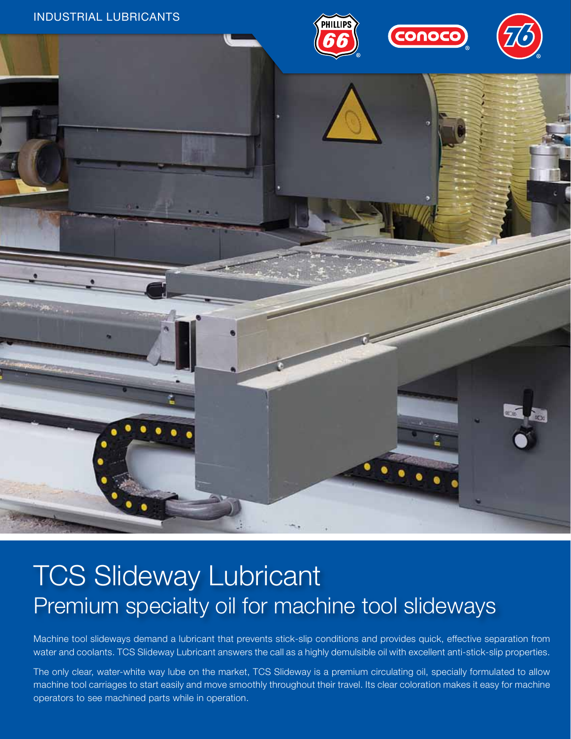

# TCS Slideway Lubricant Premium specialty oil for machine tool slideways

Machine tool slideways demand a lubricant that prevents stick-slip conditions and provides quick, effective separation from water and coolants. TCS Slideway Lubricant answers the call as a highly demulsible oil with excellent anti-stick-slip properties.

The only clear, water-white way lube on the market, TCS Slideway is a premium circulating oil, specially formulated to allow machine tool carriages to start easily and move smoothly throughout their travel. Its clear coloration makes it easy for machine operators to see machined parts while in operation.